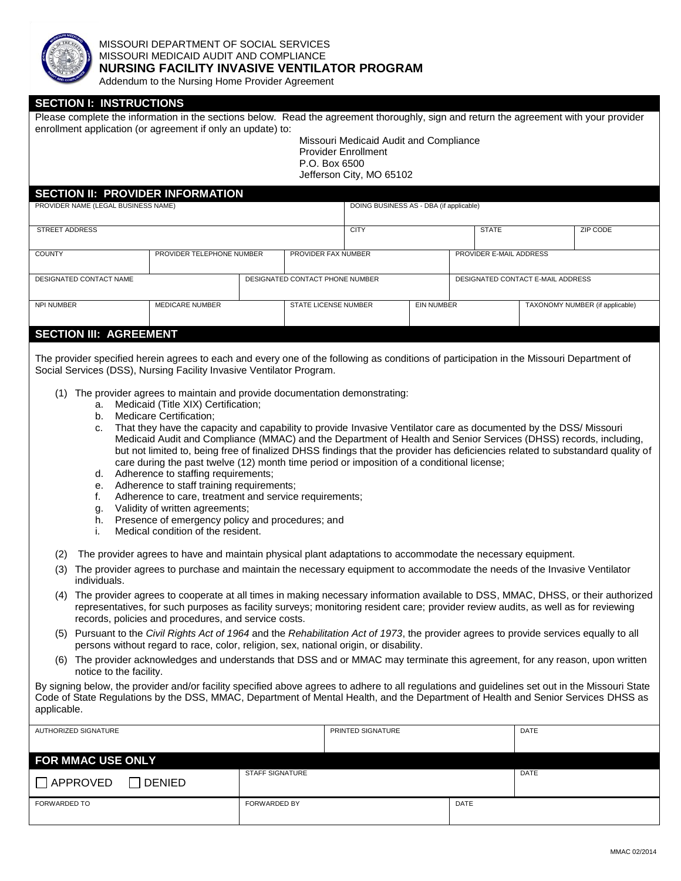

#### MISSOURI DEPARTMENT OF SOCIAL SERVICES MISSOURI MEDICAID AUDIT AND COMPLIANCE **NURSING FACILITY INVASIVE VENTILATOR PROGRAM**

Addendum to the Nursing Home Provider Agreement

| <b>SECTION I: INSTRUCTIONS</b>                                                                                                                                                                                                                     |                                         |                                 |                      |                                         |                   |          |                                   |                                 |  |  |
|----------------------------------------------------------------------------------------------------------------------------------------------------------------------------------------------------------------------------------------------------|-----------------------------------------|---------------------------------|----------------------|-----------------------------------------|-------------------|----------|-----------------------------------|---------------------------------|--|--|
| Please complete the information in the sections below. Read the agreement thoroughly, sign and return the agreement with your provider                                                                                                             |                                         |                                 |                      |                                         |                   |          |                                   |                                 |  |  |
| enrollment application (or agreement if only an update) to:<br>Missouri Medicaid Audit and Compliance                                                                                                                                              |                                         |                                 |                      |                                         |                   |          |                                   |                                 |  |  |
| <b>Provider Enrollment</b><br>P.O. Box 6500                                                                                                                                                                                                        |                                         |                                 |                      |                                         |                   |          |                                   |                                 |  |  |
| Jefferson City, MO 65102                                                                                                                                                                                                                           |                                         |                                 |                      |                                         |                   |          |                                   |                                 |  |  |
|                                                                                                                                                                                                                                                    | <b>SECTION II: PROVIDER INFORMATION</b> |                                 |                      |                                         |                   |          |                                   |                                 |  |  |
| PROVIDER NAME (LEGAL BUSINESS NAME)                                                                                                                                                                                                                |                                         |                                 |                      | DOING BUSINESS AS - DBA (if applicable) |                   |          |                                   |                                 |  |  |
| <b>STREET ADDRESS</b>                                                                                                                                                                                                                              |                                         | <b>CITY</b>                     |                      |                                         | <b>STATE</b>      | ZIP CODE |                                   |                                 |  |  |
| <b>COUNTY</b>                                                                                                                                                                                                                                      | PROVIDER TELEPHONE NUMBER               |                                 | PROVIDER FAX NUMBER  |                                         |                   |          | PROVIDER E-MAIL ADDRESS           |                                 |  |  |
| DESIGNATED CONTACT NAME                                                                                                                                                                                                                            |                                         | DESIGNATED CONTACT PHONE NUMBER |                      |                                         |                   |          | DESIGNATED CONTACT E-MAIL ADDRESS |                                 |  |  |
| NPI NUMBER<br><b>MEDICARE NUMBER</b>                                                                                                                                                                                                               |                                         |                                 | STATE LICENSE NUMBER |                                         | <b>EIN NUMBER</b> |          |                                   | TAXONOMY NUMBER (if applicable) |  |  |
| <b>SECTION III: AGREEMENT</b>                                                                                                                                                                                                                      |                                         |                                 |                      |                                         |                   |          |                                   |                                 |  |  |
| The provider specified herein agrees to each and every one of the following as conditions of participation in the Missouri Department of                                                                                                           |                                         |                                 |                      |                                         |                   |          |                                   |                                 |  |  |
| Social Services (DSS), Nursing Facility Invasive Ventilator Program.                                                                                                                                                                               |                                         |                                 |                      |                                         |                   |          |                                   |                                 |  |  |
| (1) The provider agrees to maintain and provide documentation demonstrating:                                                                                                                                                                       |                                         |                                 |                      |                                         |                   |          |                                   |                                 |  |  |
| a. Medicaid (Title XIX) Certification;<br><b>Medicare Certification:</b><br>b.                                                                                                                                                                     |                                         |                                 |                      |                                         |                   |          |                                   |                                 |  |  |
| That they have the capacity and capability to provide Invasive Ventilator care as documented by the DSS/ Missouri<br>c.                                                                                                                            |                                         |                                 |                      |                                         |                   |          |                                   |                                 |  |  |
| Medicaid Audit and Compliance (MMAC) and the Department of Health and Senior Services (DHSS) records, including,<br>but not limited to, being free of finalized DHSS findings that the provider has deficiencies related to substandard quality of |                                         |                                 |                      |                                         |                   |          |                                   |                                 |  |  |
| care during the past twelve (12) month time period or imposition of a conditional license;                                                                                                                                                         |                                         |                                 |                      |                                         |                   |          |                                   |                                 |  |  |
| d. Adherence to staffing requirements;                                                                                                                                                                                                             |                                         |                                 |                      |                                         |                   |          |                                   |                                 |  |  |
| Adherence to staff training requirements;<br>е.<br>Adherence to care, treatment and service requirements;<br>f.                                                                                                                                    |                                         |                                 |                      |                                         |                   |          |                                   |                                 |  |  |
| Validity of written agreements;<br>g.                                                                                                                                                                                                              |                                         |                                 |                      |                                         |                   |          |                                   |                                 |  |  |
| Presence of emergency policy and procedures; and<br>h.<br>Medical condition of the resident.<br>i.                                                                                                                                                 |                                         |                                 |                      |                                         |                   |          |                                   |                                 |  |  |
|                                                                                                                                                                                                                                                    |                                         |                                 |                      |                                         |                   |          |                                   |                                 |  |  |

- (2) The provider agrees to have and maintain physical plant adaptations to accommodate the necessary equipment.
- (3) The provider agrees to purchase and maintain the necessary equipment to accommodate the needs of the Invasive Ventilator individuals.
- (4) The provider agrees to cooperate at all times in making necessary information available to DSS, MMAC, DHSS, or their authorized representatives, for such purposes as facility surveys; monitoring resident care; provider review audits, as well as for reviewing records, policies and procedures, and service costs.
- (5) Pursuant to the *Civil Rights Act of 1964* and the *Rehabilitation Act of 1973*, the provider agrees to provide services equally to all persons without regard to race, color, religion, sex, national origin, or disability.
- (6) The provider acknowledges and understands that DSS and or MMAC may terminate this agreement, for any reason, upon written notice to the facility.

By signing below, the provider and/or facility specified above agrees to adhere to all regulations and guidelines set out in the Missouri State Code of State Regulations by the DSS, MMAC, Department of Mental Health, and the Department of Health and Senior Services DHSS as applicable.

| AUTHORIZED SIGNATURE             |                        | PRINTED SIGNATURE | <b>DATE</b> |  |
|----------------------------------|------------------------|-------------------|-------------|--|
|                                  |                        |                   |             |  |
| <b>FOR MMAC USE ONLY</b>         |                        |                   |             |  |
| $\Box$ APPROVED<br><b>DENIED</b> | <b>STAFF SIGNATURE</b> |                   | <b>DATE</b> |  |
| <b>FORWARDED TO</b>              | <b>FORWARDED BY</b>    |                   | <b>DATE</b> |  |